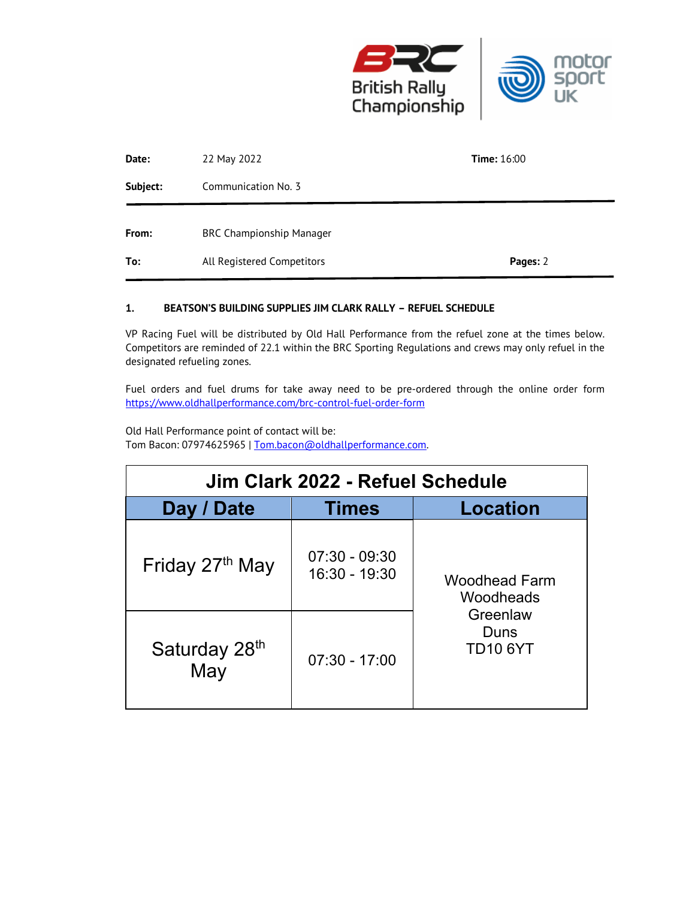

| Date:    | 22 May 2022                     | <b>Time:</b> $16:00$ |
|----------|---------------------------------|----------------------|
| Subject: | Communication No. 3             |                      |
| From:    | <b>BRC Championship Manager</b> |                      |
| To:      | All Registered Competitors      | Pages: 2             |

## **1. BEATSON'S BUILDING SUPPLIES JIM CLARK RALLY – REFUEL SCHEDULE**

VP Racing Fuel will be distributed by Old Hall Performance from the refuel zone at the times below. Competitors are reminded of 22.1 within the BRC Sporting Regulations and crews may only refuel in the designated refueling zones.

Fuel orders and fuel drums for take away need to be pre-ordered through the online order form https://www.oldhallperformance.com/brc-control-fuel-order-form

Old Hall Performance point of contact will be: Tom Bacon: 07974625965 | Tom.bacon@oldhallperformance.com.

| Jim Clark 2022 - Refuel Schedule |                                  |                                                                          |  |  |
|----------------------------------|----------------------------------|--------------------------------------------------------------------------|--|--|
| Day / Date                       | <b>Times</b>                     | <b>Location</b>                                                          |  |  |
| Friday 27th May                  | $07:30 - 09:30$<br>16:30 - 19:30 | <b>Woodhead Farm</b><br>Woodheads<br>Greenlaw<br>Duns<br><b>TD10 6YT</b> |  |  |
| Saturday 28th<br>May             | $07:30 - 17:00$                  |                                                                          |  |  |